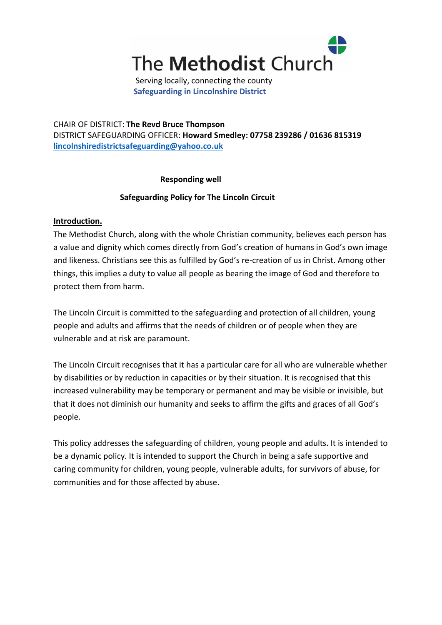

Serving locally, connecting the county **Safeguarding in Lincolnshire District**

CHAIR OF DISTRICT: **The Revd Bruce Thompson** DISTRICT SAFEGUARDING OFFICER: **Howard Smedley: 07758 239286 / 01636 815319 [lincolnshiredistrictsafeguarding@yahoo.co.uk](mailto:lincolnshiredistrictsafeguarding@yahoo.co.uk)**

## **Responding well**

# **Safeguarding Policy for The Lincoln Circuit**

## **Introduction.**

The Methodist Church, along with the whole Christian community, believes each person has a value and dignity which comes directly from God's creation of humans in God's own image and likeness. Christians see this as fulfilled by God's re-creation of us in Christ. Among other things, this implies a duty to value all people as bearing the image of God and therefore to protect them from harm.

The Lincoln Circuit is committed to the safeguarding and protection of all children, young people and adults and affirms that the needs of children or of people when they are vulnerable and at risk are paramount.

The Lincoln Circuit recognises that it has a particular care for all who are vulnerable whether by disabilities or by reduction in capacities or by their situation. It is recognised that this increased vulnerability may be temporary or permanent and may be visible or invisible, but that it does not diminish our humanity and seeks to affirm the gifts and graces of all God's people.

This policy addresses the safeguarding of children, young people and adults. It is intended to be a dynamic policy. It is intended to support the Church in being a safe supportive and caring community for children, young people, vulnerable adults, for survivors of abuse, for communities and for those affected by abuse.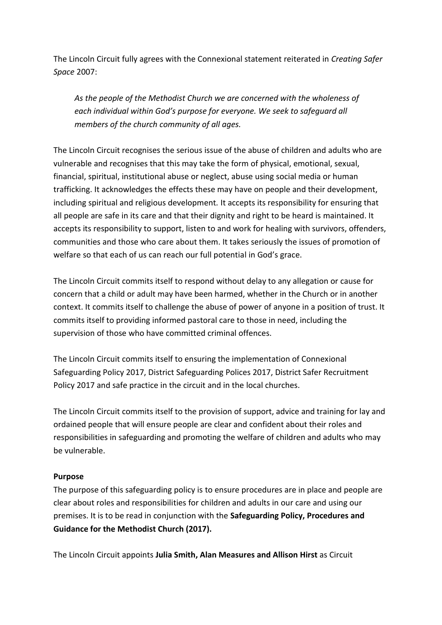The Lincoln Circuit fully agrees with the Connexional statement reiterated in *Creating Safer Space* 2007:

*As the people of the Methodist Church we are concerned with the wholeness of each individual within God's purpose for everyone. We seek to safeguard all members of the church community of all ages.*

The Lincoln Circuit recognises the serious issue of the abuse of children and adults who are vulnerable and recognises that this may take the form of physical, emotional, sexual, financial, spiritual, institutional abuse or neglect, abuse using social media or human trafficking. It acknowledges the effects these may have on people and their development, including spiritual and religious development*.* It accepts its responsibility for ensuring that all people are safe in its care and that their dignity and right to be heard is maintained. It accepts its responsibility to support, listen to and work for healing with survivors, offenders, communities and those who care about them. It takes seriously the issues of promotion of welfare so that each of us can reach our full potential in God's grace.

The Lincoln Circuit commits itself to respond without delay to any allegation or cause for concern that a child or adult may have been harmed, whether in the Church or in another context. It commits itself to challenge the abuse of power of anyone in a position of trust. It commits itself to providing informed pastoral care to those in need, including the supervision of those who have committed criminal offences.

The Lincoln Circuit commits itself to ensuring the implementation of Connexional Safeguarding Policy 2017, District Safeguarding Polices 2017, District Safer Recruitment Policy 2017 and safe practice in the circuit and in the local churches.

The Lincoln Circuit commits itself to the provision of support, advice and training for lay and ordained people that will ensure people are clear and confident about their roles and responsibilities in safeguarding and promoting the welfare of children and adults who may be vulnerable.

## **Purpose**

The purpose of this safeguarding policy is to ensure procedures are in place and people are clear about roles and responsibilities for children and adults in our care and using our premises. It is to be read in conjunction with the **Safeguarding Policy, Procedures and Guidance for the Methodist Church (2017).**

The Lincoln Circuit appoints **Julia Smith, Alan Measures and Allison Hirst** as Circuit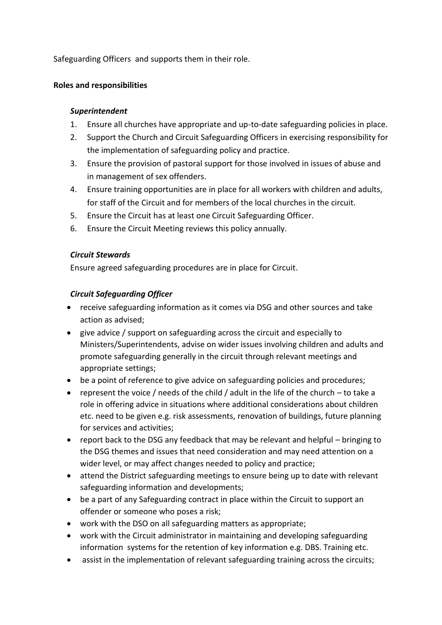Safeguarding Officers and supports them in their role.

## **Roles and responsibilities**

## *Superintendent*

- 1. Ensure all churches have appropriate and up-to-date safeguarding policies in place.
- 2. Support the Church and Circuit Safeguarding Officers in exercising responsibility for the implementation of safeguarding policy and practice.
- 3. Ensure the provision of pastoral support for those involved in issues of abuse and in management of sex offenders.
- 4. Ensure training opportunities are in place for all workers with children and adults, for staff of the Circuit and for members of the local churches in the circuit.
- 5. Ensure the Circuit has at least one Circuit Safeguarding Officer.
- 6. Ensure the Circuit Meeting reviews this policy annually.

## *Circuit Stewards*

Ensure agreed safeguarding procedures are in place for Circuit.

# *Circuit Safeguarding Officer*

- receive safeguarding information as it comes via DSG and other sources and take action as advised;
- give advice / support on safeguarding across the circuit and especially to Ministers/Superintendents, advise on wider issues involving children and adults and promote safeguarding generally in the circuit through relevant meetings and appropriate settings;
- be a point of reference to give advice on safeguarding policies and procedures;
- represent the voice / needs of the child / adult in the life of the church to take a role in offering advice in situations where additional considerations about children etc. need to be given e.g. risk assessments, renovation of buildings, future planning for services and activities;
- report back to the DSG any feedback that may be relevant and helpful bringing to the DSG themes and issues that need consideration and may need attention on a wider level, or may affect changes needed to policy and practice;
- attend the District safeguarding meetings to ensure being up to date with relevant safeguarding information and developments;
- be a part of any Safeguarding contract in place within the Circuit to support an offender or someone who poses a risk;
- work with the DSO on all safeguarding matters as appropriate;
- work with the Circuit administrator in maintaining and developing safeguarding information systems for the retention of key information e.g. DBS. Training etc.
- assist in the implementation of relevant safeguarding training across the circuits;